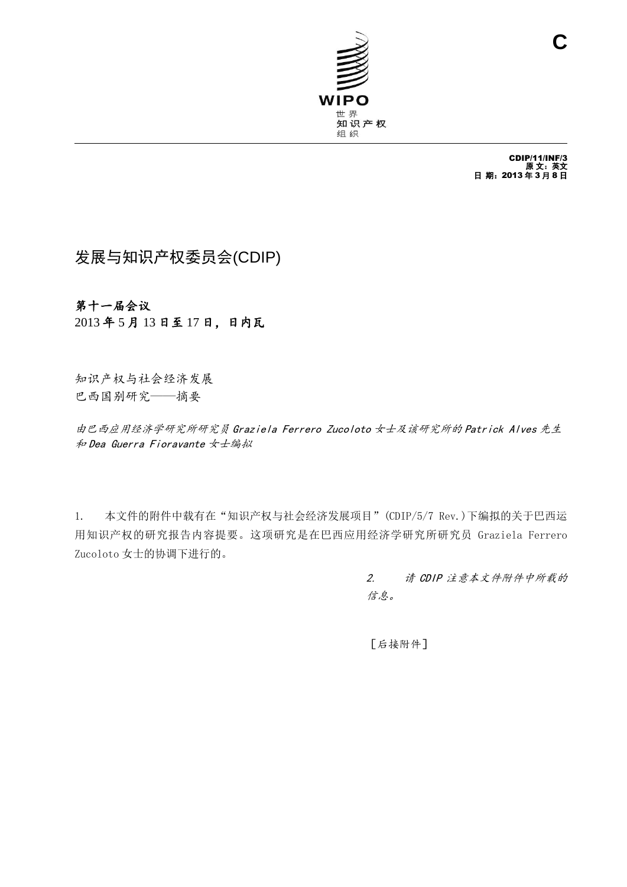

CDIP/11/INF/3 原 文:英文 日 期:2013 年 3 月 8 日

# 发展与知识产权委员会(CDIP)

## 第十一届会议

2013 年 5 月 13 日至 17 日,日内瓦

知识产权与社会经济发展 巴西国别研究——摘要

由巴西应用经济学研究所研究员 Graziela Ferrero Zucoloto 女士及该研究所的 Patrick Alves 先生 和 Dea Guerra Fioravante 女士编拟

1. 本文件的附件中载有在"知识产权与社会经济发展项目"(CDIP/5/7 Rev.)下编拟的关于巴西运 用知识产权的研究报告内容提要。这项研究是在巴西应用经济学研究所研究员 Graziela Ferrero Zucoloto 女士的协调下进行的。

> 2. 请 CDIP 注意本文件附件中所载的 信息。

[后接附件]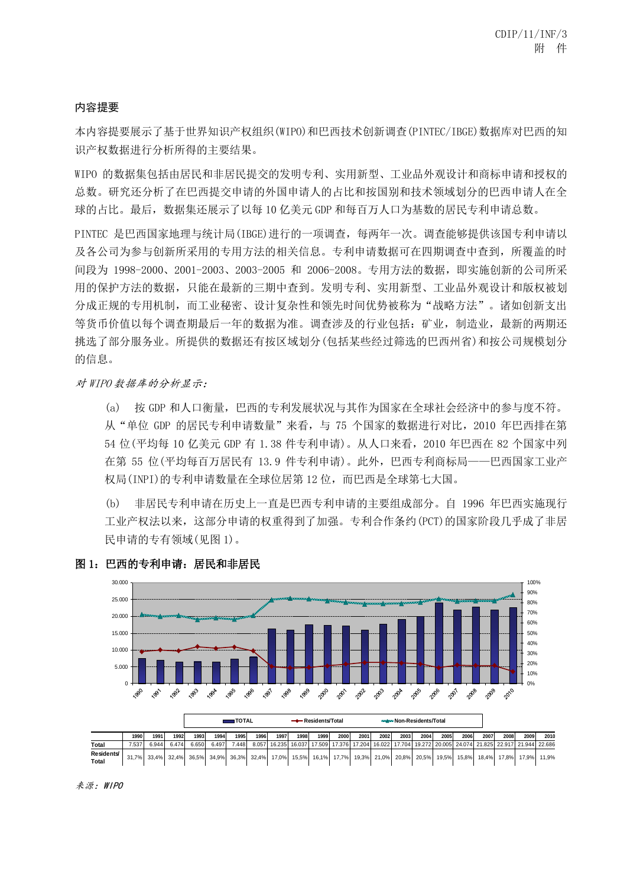#### 内容提要

本内容提要展示了基于世界知识产权组织(WIPO)和巴西技术创新调查(PINTEC/IBGE)数据库对巴西的知 识产权数据进行分析所得的主要结果。

WIPO 的数据集包括由居民和非居民提交的发明专利、实用新型、工业品外观设计和商标申请和授权的 总数。研究还分析了在巴西提交申请的外国申请人的占比和按国别和技术领域划分的巴西申请人在全 球的占比。最后, 数据集还展示了以每 10 亿美元 GDP 和每百万人口为基数的居民专利申请总数。

PINTEC 是巴西国家地理与统计局(IBGE)进行的一项调查,每两年一次。调查能够提供该国专利申请以 及各公司为参与创新所采用的专用方法的相关信息。专利申请数据可在四期调查中查到,所覆盖的时 间段为 1998-2000、2001-2003、2003-2005 和 2006-2008。专用方法的数据,即实施创新的公司所采 用的保护方法的数据,只能在最新的三期中查到。发明专利、实用新型、工业品外观设计和版权被划 分成正规的专用机制,而工业秘密、设计复杂性和领先时间优势被称为"战略方法"。诸如创新支出 等货币价值以每个调查期最后一年的数据为准。调查涉及的行业包括: 矿业, 制造业, 最新的两期还 挑选了部分服务业。所提供的数据还有按区域划分(包括某些经过筛选的巴西州省)和按公司规模划分 的信息。

对 WIPO 数据库的分析显示:

(a) 按 GDP 和人口衡量,巴西的专利发展状况与其作为国家在全球社会经济中的参与度不符。 从"单位 GDP 的居民专利申请数量"来看,与 75 个国家的数据进行对比,2010 年巴西排在第 54 位(平均每 10 亿美元 GDP 有 1.38 件专利申请)。从人口来看,2010 年巴西在 82 个国家中列 在第 55 位(平均每百万居民有 13.9 件专利申请)。此外,巴西专利商标局——巴西国家工业产 权局(INPI)的专利申请数量在全球位居第12位,而巴西是全球第七大国。

(b) 非居民专利申请在历史上一直是巴西专利申请的主要组成部分。自 1996 年巴西实施现行 工业产权法以来,这部分申请的权重得到了加强。专利合作条约(PCT)的国家阶段几乎成了非居 民申请的专有领域(见图 1)。





来源:WIPO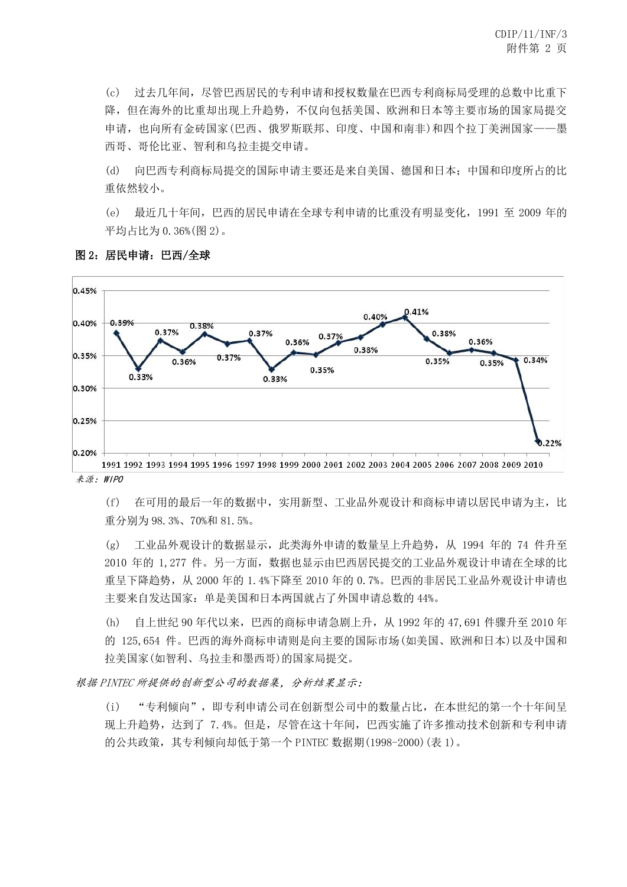(c) 过去几年间,尽管巴西居民的专利申请和授权数量在巴西专利商标局受理的总数中比重下 降,但在海外的比重却出现上升趋势,不仅向包括美国、欧洲和日本等主要市场的国家局提交 申请,也向所有金砖国家(巴西、俄罗斯联邦、印度、中国和南非)和四个拉丁美洲国家——墨 西哥、哥伦比亚、智利和乌拉圭提交申请。

(d) 向巴西专利商标局提交的国际申请主要还是来自美国、德国和日本;中国和印度所占的比 重依然较小。

(e) 最近几十年间,巴西的居民申请在全球专利申请的比重没有明显变化,1991 至 2009 年的 平均占比为 0.36%(图 2)。



图 2:居民申请:巴西/全球

(f) 在可用的最后一年的数据中,实用新型、工业品外观设计和商标申请以居民申请为主,比 重分别为 98.3%、70%和 81.5%。

(g) 工业品外观设计的数据显示,此类海外申请的数量呈上升趋势,从 1994 年的 74 件升至 2010 年的 1,277 件。另一方面,数据也显示由巴西居民提交的工业品外观设计申请在全球的比 重呈下降趋势,从 2000 年的 1.4%下降至 2010 年的 0.7%。巴西的非居民工业品外观设计申请也 主要来自发达国家:单是美国和日本两国就占了外国申请总数的 44%。

(h) 自上世纪 90 年代以来,巴西的商标申请急剧上升,从 1992 年的 47,691 件骤升至 2010 年 的 125,654 件。巴西的海外商标申请则是向主要的国际市场(如美国、欧洲和日本)以及中国和 拉美国家(如智利、乌拉圭和墨西哥)的国家局提交。

根据 PINTEC 所提供的创新型公司的数据集,分析结果显示:

(i) "专利倾向",即专利申请公司在创新型公司中的数量占比,在本世纪的第一个十年间呈 现上升趋势,达到了 7.4%。但是,尽管在这十年间,巴西实施了许多推动技术创新和专利申请 的公共政策,其专利倾向却低于第一个 PINTEC 数据期(1998-2000)(表 1)。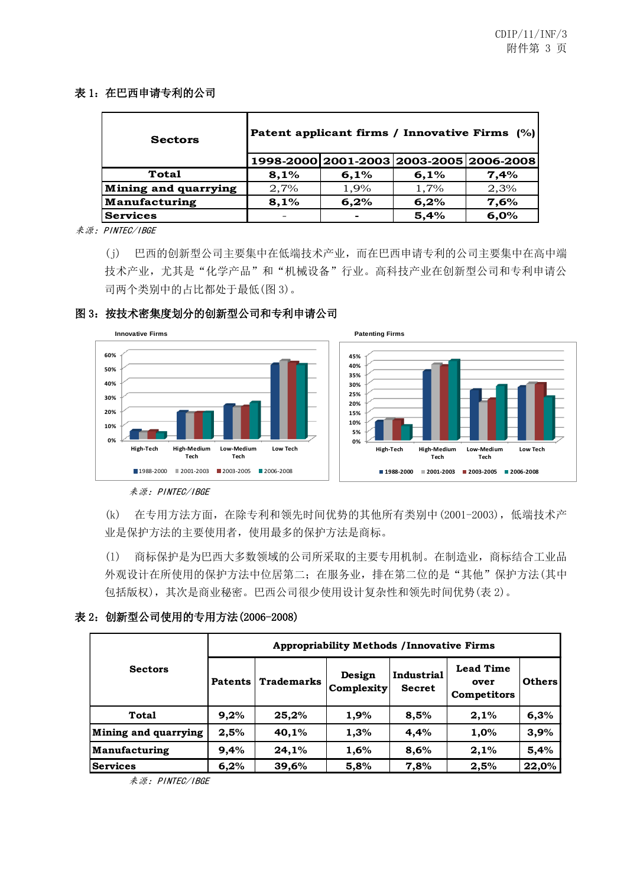#### 表 1: 在巴西申请专利的公司

| <b>Sectors</b>       | Patent applicant firms / Innovative Firms (%) |                                         |      |      |  |  |
|----------------------|-----------------------------------------------|-----------------------------------------|------|------|--|--|
|                      |                                               | 1998-2000 2001-2003 2003-2005 2006-2008 |      |      |  |  |
| <b>Total</b>         | 8,1%                                          | 6,1%                                    | 6,1% | 7,4% |  |  |
| Mining and quarrying | 2,7%                                          | 1,9%                                    | 1,7% | 2,3% |  |  |
| Manufacturing        | 8,1%                                          | 6,2%                                    | 6,2% | 7,6% |  |  |
| <b>Services</b>      |                                               |                                         | 5,4% | 6,0% |  |  |

来源:PINTEC/IBGE

(j) 巴西的创新型公司主要集中在低端技术产业,而在巴西申请专利的公司主要集中在高中端 技术产业,尤其是"化学产品"和"机械设备"行业。高科技产业在创新型公司和专利申请公 司两个类别中的占比都处于最低(图 3)。

## 图 3:按技术密集度划分的创新型公司和专利申请公司



来源:PINTEC/IBGE

(k) 在专用方法方面,在除专利和领先时间优势的其他所有类别中(2001-2003),低端技术产 业是保护方法的主要使用者,使用最多的保护方法是商标。

(l) 商标保护是为巴西大多数领域的公司所采取的主要专用机制。在制造业,商标结合工业品 外观设计在所使用的保护方法中位居第二;在服务业,排在第二位的是"其他"保护方法(其中 包括版权),其次是商业秘密。巴西公司很少使用设计复杂性和领先时间优势(表 2)。

#### 表 2:创新型公司使用的专用方法(2006-2008)

|                      | <b>Appropriability Methods / Innovative Firms</b> |                                 |      |                             |                                                |               |  |  |
|----------------------|---------------------------------------------------|---------------------------------|------|-----------------------------|------------------------------------------------|---------------|--|--|
| <b>Sectors</b>       | <b>Patents</b>                                    | <b>Trademarks</b><br>Complexity |      | Industrial<br><b>Secret</b> | <b>Lead Time</b><br>over<br><b>Competitors</b> | <b>Others</b> |  |  |
| Total                | 9,2%                                              | 25,2%                           | 1,9% | 8,5%                        | 2,1%                                           | 6,3%          |  |  |
| Mining and quarrying | 2,5%                                              | 40,1%                           | 1,3% | 4,4%                        | 1,0%                                           | 3,9%          |  |  |
| Manufacturing        | 9,4%                                              | 24,1%                           | 1,6% | 8,6%                        | 2,1%                                           | 5,4%          |  |  |
| <b>Services</b>      | 6,2%                                              | 39,6%                           | 5,8% | 7,8%                        | 2,5%                                           | 22,0%         |  |  |

来源:PINTEC/IBGE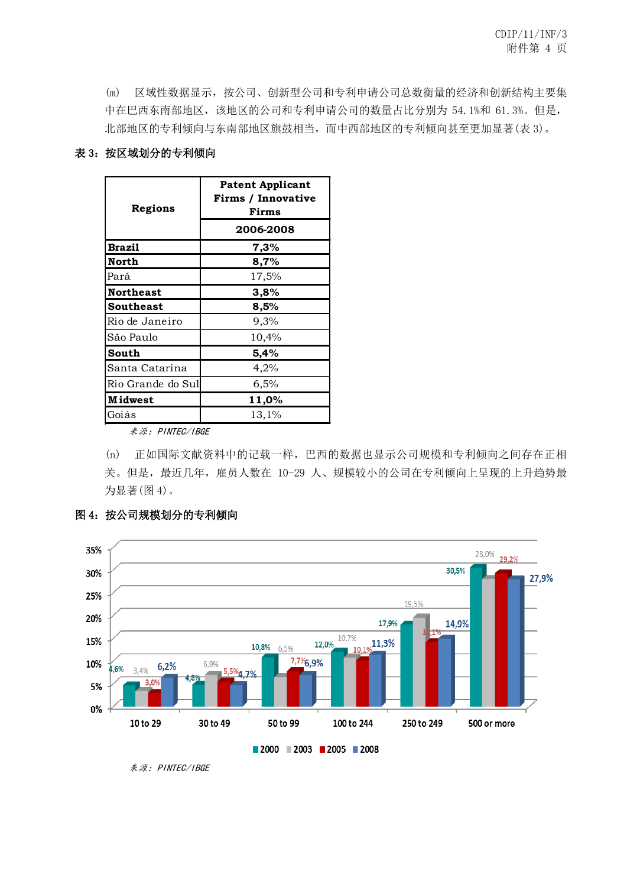(m) 区域性数据显示,按公司、创新型公司和专利申请公司总数衡量的经济和创新结构主要集 中在巴西东南部地区,该地区的公司和专利申请公司的数量占比分别为 54.1%和 61.3%。但是, 北部地区的专利倾向与东南部地区旗鼓相当,而中西部地区的专利倾向甚至更加显著(表 3)。

#### 表 3: 按区域划分的专利倾向

| Regions           | <b>Patent Applicant</b><br>Firms / Innovative<br>Firms |  |  |  |
|-------------------|--------------------------------------------------------|--|--|--|
|                   | 2006-2008                                              |  |  |  |
| <b>Brazil</b>     | 7,3%                                                   |  |  |  |
| North             | 8,7%                                                   |  |  |  |
| Pará              | 17,5%                                                  |  |  |  |
| <b>Northeast</b>  | 3,8%                                                   |  |  |  |
| Southeast         | 8,5%                                                   |  |  |  |
| Rio de Janeiro    | 9,3%                                                   |  |  |  |
| São Paulo         | 10,4%                                                  |  |  |  |
| South             | 5,4%                                                   |  |  |  |
| Santa Catarina    | 4,2%                                                   |  |  |  |
| Rio Grande do Sul | 6,5%                                                   |  |  |  |
| <b>Midwest</b>    | 11,0%                                                  |  |  |  |
| Goiás             | 13,1%                                                  |  |  |  |

来源:PINTEC/IBGE

(n) 正如国际文献资料中的记载一样,巴西的数据也显示公司规模和专利倾向之间存在正相 关。但是,最近几年,雇员人数在 10-29 人、规模较小的公司在专利倾向上呈现的上升趋势最 为显著(图 4)。



## 图 4:按公司规模划分的专利倾向

来源:PINTEC/IBGE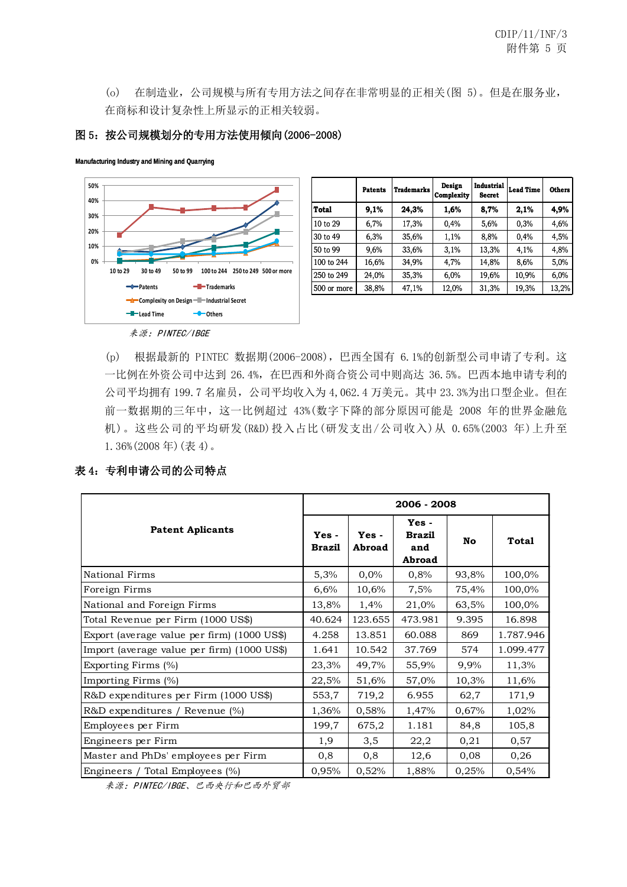(o) 在制造业,公司规模与所有专用方法之间存在非常明显的正相关(图 5)。但是在服务业, 在商标和设计复杂性上所显示的正相关较弱。

#### 图 5:按公司规模划分的专用方法使用倾向(2006-2008)

**Manufacturing Industry and Mining and Quarrying**



|             | Patents | <b>Trademarks</b> | Design<br>Complexity | Industrial<br><b>Secret</b> | <b>Lead Time</b> | <b>Others</b> |
|-------------|---------|-------------------|----------------------|-----------------------------|------------------|---------------|
| Total       | 9,1%    | 24,3%             | 1,6%                 | 8,7%                        | 2,1%             | 4,9%          |
| 10 to 29    | 6,7%    | 17,3%             | 0.4%                 | 5,6%                        | 0.3%             | 4,6%          |
| 30 to 49    | 6,3%    | 35,6%             | 1,1%                 | 8,8%                        | 0,4%             | 4,5%          |
| 50 to 99    | 9,6%    | 33,6%             | 3,1%                 | 13,3%                       | 4,1%             | 4,8%          |
| 100 to 244  | 16,6%   | 34,9%             | 4,7%                 | 14,8%                       | 8,6%             | 5,0%          |
| 250 to 249  | 24,0%   | 35,3%             | 6,0%                 | 19,6%                       | 10,9%            | 6,0%          |
| 500 or more | 38,8%   | 47,1%             | 12,0%                | 31,3%                       | 19,3%            | 13,2%         |

(p) 根据最新的 PINTEC 数据期(2006-2008),巴西全国有 6.1%的创新型公司申请了专利。这 一比例在外资公司中达到 26.4%,在巴西和外商合资公司中则高达 36.5%。巴西本地申请专利的 公司平均拥有 199.7 名雇员,公司平均收入为 4,062.4 万美元。其中 23.3%为出口型企业。但在 前一数据期的三年中,这一比例超过 43%(数字下降的部分原因可能是 2008 年的世界金融危 机)。这些公司的平均研发(R&D)投入占比(研发支出/公司收入)从 0.65%(2003 年)上升至

1.36%(2008 年)(表 4)。

## 表 4:专利申请公司的公司特点

|                                             | 2006 - 2008              |                   |                                        |           |              |  |  |  |
|---------------------------------------------|--------------------------|-------------------|----------------------------------------|-----------|--------------|--|--|--|
| <b>Patent Aplicants</b>                     | $Yes -$<br><b>Brazil</b> | $Yes -$<br>Abroad | Yes-<br><b>Brazil</b><br>and<br>Abroad | <b>No</b> | <b>Total</b> |  |  |  |
| National Firms                              | 5,3%                     | 0,0%              | 0,8%                                   | 93,8%     | 100,0%       |  |  |  |
| Foreign Firms                               | 6,6%                     | 10,6%             | 7,5%                                   | 75,4%     | 100,0%       |  |  |  |
| National and Foreign Firms                  | 13,8%                    | 1,4%              | 21,0%                                  | 63,5%     | 100,0%       |  |  |  |
| Total Revenue per Firm (1000 US\$)          | 40.624                   | 123.655           | 473.981                                | 9.395     | 16.898       |  |  |  |
| Export (average value per firm) (1000 US\$) | 4.258                    | 13.851            | 60.088                                 | 869       | 1.787.946    |  |  |  |
| Import (average value per firm) (1000 US\$) | 1.641                    | 10.542            | 37.769                                 | 574       | 1.099.477    |  |  |  |
| Exporting Firms (%)                         | 23,3%                    | 49,7%             | 55,9%                                  | 9,9%      | 11,3%        |  |  |  |
| Importing Firms (%)                         | 22,5%                    | 51,6%             | 57,0%                                  | 10,3%     | 11,6%        |  |  |  |
| R&D expenditures per Firm (1000 US\$)       | 553,7                    | 719,2             | 6.955                                  | 62,7      | 171,9        |  |  |  |
| R&D expenditures / Revenue (%)              | 1,36%                    | 0,58%             | 1,47%                                  | 0,67%     | 1,02%        |  |  |  |
| Employees per Firm                          | 199,7                    | 675,2             | 1.181                                  | 84,8      | 105,8        |  |  |  |
| Engineers per Firm                          | 1,9                      | 3,5               | 22,2                                   | 0,21      | 0,57         |  |  |  |
| Master and PhDs' employees per Firm         |                          | 0,8               | 12,6                                   | 0,08      | 0,26         |  |  |  |
| Engineers / Total Employees (%)             | 0,95%                    | 0,52%             | 1,88%                                  | 0,25%     | 0,54%        |  |  |  |

来源:PINTEC/IBGE、巴西央行和巴西外贸部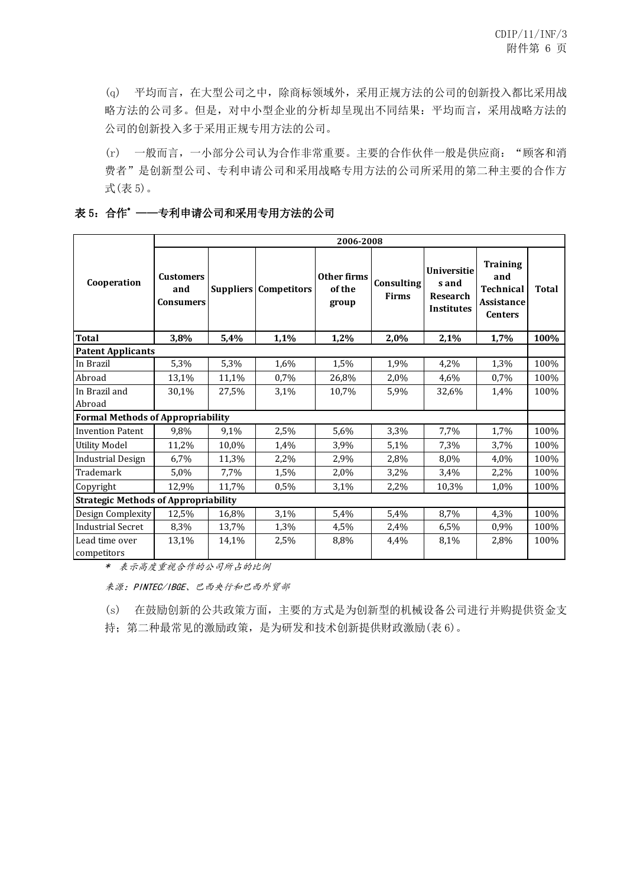(q) 平均而言,在大型公司之中,除商标领域外,采用正规方法的公司的创新投入都比采用战 略方法的公司多。但是,对中小型企业的分析却呈现出不同结果:平均而言,采用战略方法的 公司的创新投入多于采用正规专用方法的公司。

(r) 一般而言, 一小部分公司认为合作非常重要。主要的合作伙伴一般是供应商: "顾客和消 费者"是创新型公司、专利申请公司和采用战略专用方法的公司所采用的第二种主要的合作方 式(表 5)。

### 表 5:合作\* ——专利申请公司和采用专用方法的公司

|                                             | 2006-2008                            |       |                              |                                |                            |                                                                     |                                                                                   |              |  |
|---------------------------------------------|--------------------------------------|-------|------------------------------|--------------------------------|----------------------------|---------------------------------------------------------------------|-----------------------------------------------------------------------------------|--------------|--|
| Cooperation                                 | <b>Customers</b><br>and<br>Consumers |       | <b>Suppliers Competitors</b> | Other firms<br>of the<br>group | Consulting<br><b>Firms</b> | <b>Universitie</b><br>s and<br><b>Research</b><br><b>Institutes</b> | <b>Training</b><br>and<br><b>Technical</b><br><b>Assistance</b><br><b>Centers</b> | <b>Total</b> |  |
| <b>Total</b>                                | 3,8%                                 | 5,4%  | 1,1%                         | 1,2%                           | 2,0%                       | 2,1%                                                                | 1,7%                                                                              | 100%         |  |
| <b>Patent Applicants</b>                    |                                      |       |                              |                                |                            |                                                                     |                                                                                   |              |  |
| In Brazil                                   | 5,3%                                 | 5,3%  | 1,6%                         | 1,5%                           | 1,9%                       | 4,2%                                                                | 1,3%                                                                              | 100%         |  |
| Abroad                                      | 13,1%                                | 11,1% | 0.7%                         | 26,8%                          | 2,0%                       | 4,6%                                                                | 0,7%                                                                              | 100%         |  |
| In Brazil and                               | 30,1%                                | 27,5% | 3.1%                         | 10,7%                          | 5,9%                       | 32,6%                                                               | 1,4%                                                                              | 100%         |  |
| Abroad                                      |                                      |       |                              |                                |                            |                                                                     |                                                                                   |              |  |
| <b>Formal Methods of Appropriability</b>    |                                      |       |                              |                                |                            |                                                                     |                                                                                   |              |  |
| <b>Invention Patent</b>                     | 9,8%                                 | 9,1%  | 2,5%                         | 5,6%                           | 3.3%                       | 7,7%                                                                | 1,7%                                                                              | 100%         |  |
| <b>Utility Model</b>                        | 11,2%                                | 10,0% | 1,4%                         | 3,9%                           | 5,1%                       | 7,3%                                                                | 3,7%                                                                              | 100%         |  |
| <b>Industrial Design</b>                    | 6,7%                                 | 11,3% | 2,2%                         | 2,9%                           | 2,8%                       | 8.0%                                                                | 4.0%                                                                              | 100%         |  |
| Trademark                                   | 5.0%                                 | 7,7%  | 1,5%                         | 2,0%                           | 3,2%                       | 3.4%                                                                | 2,2%                                                                              | 100%         |  |
| Copyright                                   | 12,9%                                | 11,7% | 0.5%                         | 3,1%                           | 2,2%                       | 10,3%                                                               | 1,0%                                                                              | 100%         |  |
| <b>Strategic Methods of Appropriability</b> |                                      |       |                              |                                |                            |                                                                     |                                                                                   |              |  |
| Design Complexity                           | 12,5%                                | 16,8% | 3,1%                         | 5,4%                           | 5,4%                       | 8,7%                                                                | 4,3%                                                                              | 100%         |  |
| <b>Industrial Secret</b>                    | 8,3%                                 | 13,7% | 1,3%                         | 4,5%                           | 2,4%                       | 6,5%                                                                | 0,9%                                                                              | 100%         |  |
| Lead time over<br>competitors               | 13,1%                                | 14,1% | 2,5%                         | 8,8%                           | 4,4%                       | 8,1%                                                                | 2,8%                                                                              | 100%         |  |

\* 表示高度重视合作的公司所占的比例

来源:PINTEC/IBGE、巴西央行和巴西外贸部

(s) 在鼓励创新的公共政策方面,主要的方式是为创新型的机械设备公司进行并购提供资金支

持;第二种最常见的激励政策,是为研发和技术创新提供财政激励(表 6)。